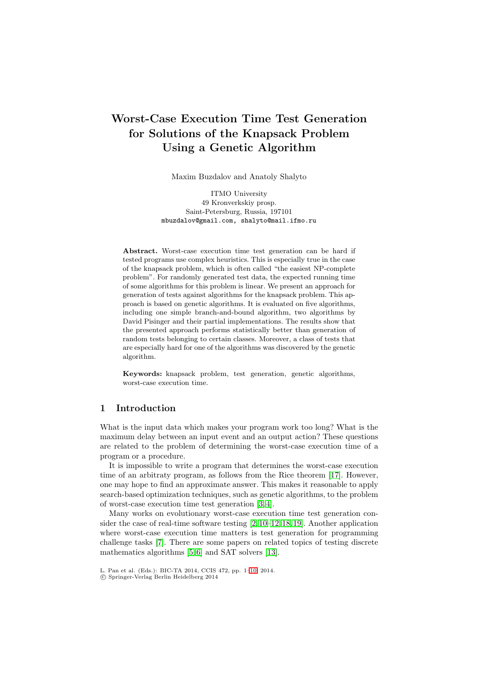# **Worst-Case Execution Time Test Generation for Solutions of the Knapsack Problem Using a Genetic Algorithm**

Maxim Buzdalov and Anatoly Shalyto

ITMO University 49 Kronverkskiy prosp. Saint-Petersburg, Russia, 197101 mbuzdalov@gmail.com, shalyto@mail.ifmo.ru

**Abstract.** Worst-case execution time test generation can be hard if tested programs use complex heuristics. This is especially true in the case of the knapsack problem, which is often called "the easiest NP-complete problem". For randomly generated test data, the expected running time of some algorithms for this problem is linear. We present an approach for generation of tests against algorithms for the knapsack problem. This approach is based on genetic algorithms. It is evaluated on five algorithms, including one simple branch-and-bound algorithm, two algorithms by David Pisinger and their partial implementations. The results show that the presented approach performs statistically better than generation of random tests belonging to certain classes. Moreover, a class of tests that are especially hard for one of the algorithms was discovered by the genetic algorithm.

**Keywords:** knapsack problem, test generation, genetic algorithms, worst-case execution time.

# **1 Introduction**

What is the input data which makes your program work too long? What is the maximum delay between an input event and an output action? These questions are related to the problem of determining the worst-case execution time of a program or a procedure.

It is impossible to write a program that determines the worst-case execution time of an arbitraty program, as follows from the Rice theorem [\[17\]](#page-9-0). However, one may hope to find an approximate answer. This makes it reasonable to apply search-based optimization techniques, such as genetic algorithms, to the problem of worst-case execution time test generation [\[3,](#page-9-1) [4\]](#page-9-2).

Many works on evolutionary worst-case execution time test generation consider the case of real-time software testing [\[2,](#page-8-0) [10–](#page-9-3)[12,](#page-9-4) [18,](#page-9-5) [19\]](#page-9-6). Another application where worst-case execution time matters is test generation for programming challenge tasks [\[7\]](#page-9-7). There are some papers on related topics of testing discrete mathematics algorithms [\[5,](#page-9-8) [6\]](#page-9-9) and SAT solvers [\[13\]](#page-9-10).

L. Pan et al. (Eds.): BIC-TA 2014, CCIS 472, pp. 1[–10,](#page-8-1) 2014.

<sup>-</sup>c Springer-Verlag Berlin Heidelberg 2014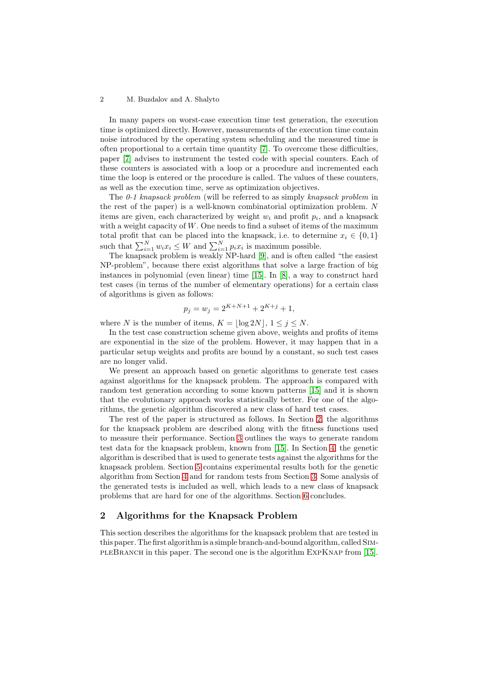In many papers on worst-case execution time test generation, the execution time is optimized directly. However, measurements of the execution time contain noise introduced by the operating system scheduling and the measured time is often proportional to a certain time quantity [\[7\]](#page-9-7). To overcome these difficulties, paper [\[7\]](#page-9-7) advises to instrument the tested code with special counters. Each of these counters is associated with a loop or a procedure and incremented each time the loop is entered or the procedure is called. The values of these counters, as well as the execution time, serve as optimization objectives.

The *0-1 knapsack problem* (will be referred to as simply *knapsack problem* in the rest of the paper) is a well-known combinatorial optimization problem. *N* items are given, each characterized by weight  $w_i$  and profit  $p_i$ , and a knapsack with a weight capacity of W. One needs to find a subset of items of the maximum total profit that can be placed into the knapsack, i.e. to determine  $x_i \in \{0,1\}$ such that  $\sum_{i=1}^{N} w_i x_i \leq W$  and  $\sum_{i=1}^{N} p_i x_i$  is maximum possible.

The knapsack problem is weakly NP-hard [\[9\]](#page-9-11), and is often called "the easiest NP-problem", because there exist algorithms that solve a large fraction of big instances in polynomial (even linear) time [\[15\]](#page-9-12). In [\[8\]](#page-9-13), a way to construct hard test cases (in terms of the number of elementary operations) for a certain class of algorithms is given as follows:

$$
p_j = w_j = 2^{K+N+1} + 2^{K+j} + 1,
$$

where *N* is the number of items,  $K = |\log 2N|, 1 \le j \le N$ .

In the test case construction scheme given above, weights and profits of items are exponential in the size of the problem. However, it may happen that in a particular setup weights and profits are bound by a constant, so such test cases are no longer valid.

We present an approach based on genetic algorithms to generate test cases against algorithms for the knapsack problem. The approach is compared with random test generation according to some known patterns [\[15\]](#page-9-12) and it is shown that the evolutionary approach works statistically better. For one of the algorithms, the genetic algorithm discovered a new class of hard test cases.

The rest of the paper is structured as follows. In Section [2,](#page-1-0) the algorithms for the knapsack problem are described along with the fitness functions used to measure their performance. Section [3](#page-3-0) outlines the ways to generate random test data for the knapsack problem, known from [\[15\]](#page-9-12). In Section [4,](#page-4-0) the genetic algorithm is described that is used to generate tests against the algorithms for the knapsack problem. Section [5](#page-5-0) contains experimental results both for the genetic algorithm from Section [4](#page-4-0) and for random tests from Section [3.](#page-3-0) Some analysis of the generated tests is included as well, which leads to a new class of knapsack problems that are hard for one of the algorithms. Section [6](#page-8-2) concludes.

# <span id="page-1-0"></span>**2 Algorithms for the Knapsack Problem**

This section describes the algorithms for the knapsack problem that are tested in this paper. The first algorithm is a simple branch-and-bound algorithm, called SIMpleBranch in this paper. The second one is the algorithm ExpKnap from [\[15\]](#page-9-12).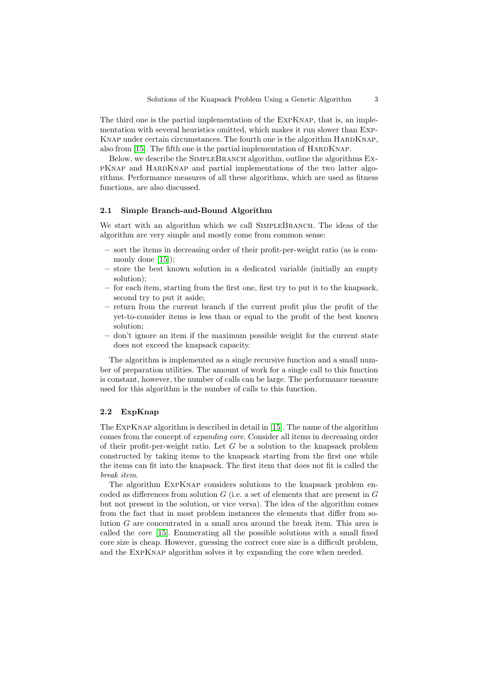The third one is the partial implementation of the ExpKnap, that is, an implementation with several heuristics omitted, which makes it run slower than Exp-KNAP under certain circumstances. The fourth one is the algorithm HARDKNAP, also from [\[15\]](#page-9-12). The fifth one is the partial implementation of HARDKNAP.

Below, we describe the SIMPLEBRANCH algorithm, outline the algorithms EXpKnap and HardKnap and partial implementations of the two latter algorithms. Performance measures of all these algorithms, which are used as fitness functions, are also discussed.

#### **2.1 Simple Branch-and-Bound Algorithm**

We start with an algorithm which we call SIMPLEBRANCH. The ideas of the algorithm are very simple and mostly come from common sense:

- **–** sort the items in decreasing order of their profit-per-weight ratio (as is com-monly done [\[15\]](#page-9-12));
- **–** store the best known solution in a dedicated variable (initially an empty solution);
- **–** for each item, starting from the first one, first try to put it to the knapsack, second try to put it aside;
- **–** return from the current branch if the current profit plus the profit of the yet-to-consider items is less than or equal to the profit of the best known solution;
- **–** don't ignore an item if the maximum possible weight for the current state does not exceed the knapsack capacity.

The algorithm is implemented as a single recursive function and a small number of preparation utilities. The amount of work for a single call to this function is constant, however, the number of calls can be large. The performance measure used for this algorithm is the number of calls to this function.

### **2.2 ExpKnap**

The ExpKnap algorithm is described in detail in [\[15\]](#page-9-12). The name of the algorithm comes from the concept of *expanding core*. Consider all items in decreasing order of their profit-per-weight ratio. Let *G* be a solution to the knapsack problem constructed by taking items to the knapsack starting from the first one while the items can fit into the knapsack. The first item that does not fit is called the *break item*.

The algorithm ExpKnap considers solutions to the knapsack problem encoded as differences from solution *G* (i.e. a set of elements that are present in *G* but not present in the solution, or vice versa). The idea of the algorithm comes from the fact that in most problem instances the elements that differ from solution *G* are concentrated in a small area around the break item. This area is called the *core* [\[15\]](#page-9-12). Enumerating all the possible solutions with a small fixed core size is cheap. However, guessing the correct core size is a difficult problem, and the ExpKnap algorithm solves it by expanding the core when needed.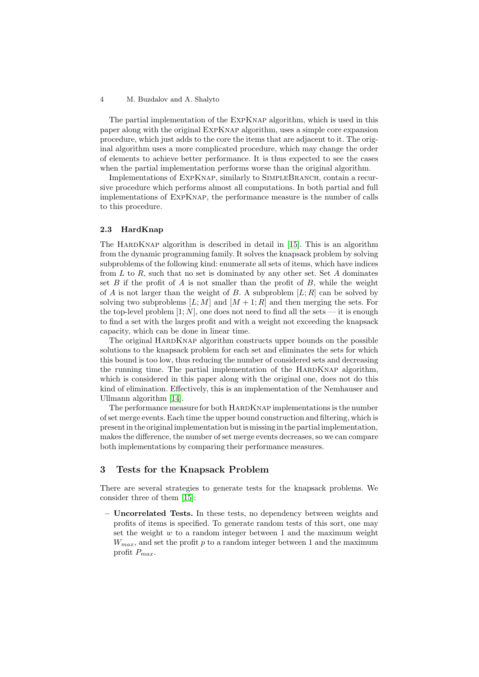The partial implementation of the ExpKnap algorithm, which is used in this paper along with the original ExpKnap algorithm, uses a simple core expansion procedure, which just adds to the core the items that are adjacent to it. The original algorithm uses a more complicated procedure, which may change the order of elements to achieve better performance. It is thus expected to see the cases when the partial implementation performs worse than the original algorithm.

Implementations of EXPKNAP, similarly to SIMPLEBRANCH, contain a recursive procedure which performs almost all computations. In both partial and full implementations of ExpKnap, the performance measure is the number of calls to this procedure.

#### **2.3 HardKnap**

The HARDKNAP algorithm is described in detail in [\[15\]](#page-9-12). This is an algorithm from the dynamic programming family. It solves the knapsack problem by solving subproblems of the following kind: enumerate all sets of items, which have indices from *L* to *R*, such that no set is dominated by any other set. Set *A* dominates set  $B$  if the profit of  $A$  is not smaller than the profit of  $B$ , while the weight of *A* is not larger than the weight of *B*. A subproblem  $[L; R]$  can be solved by solving two subproblems  $[L; M]$  and  $[M + 1; R]$  and then merging the sets. For the top-level problem  $[1; N]$ , one does not need to find all the sets — it is enough to find a set with the larges profit and with a weight not exceeding the knapsack capacity, which can be done in linear time.

The original HARDKNAP algorithm constructs upper bounds on the possible solutions to the knapsack problem for each set and eliminates the sets for which this bound is too low, thus reducing the number of considered sets and decreasing the running time. The partial implementation of the HARDKNAP algorithm, which is considered in this paper along with the original one, does not do this kind of elimination. Effectively, this is an implementation of the Nemhauser and Ullmann algorithm [\[14\]](#page-9-14).

The performance measure for both HARDKNAP implementations is the number of set merge events. Each time the upper bound construction and filtering, which is present in the original implementation but is missing in the partial implementation, makes the difference, the number of set merge events decreases, so we can compare both implementations by comparing their performance measures.

# <span id="page-3-0"></span>**3 Tests for the Knapsack Problem**

There are several strategies to generate tests for the knapsack problems. We consider three of them [\[15\]](#page-9-12):

**– Uncorrelated Tests.** In these tests, no dependency between weights and profits of items is specified. To generate random tests of this sort, one may set the weight *w* to a random integer between 1 and the maximum weight  $W_{max}$ , and set the profit *p* to a random integer between 1 and the maximum profit *Pmax*.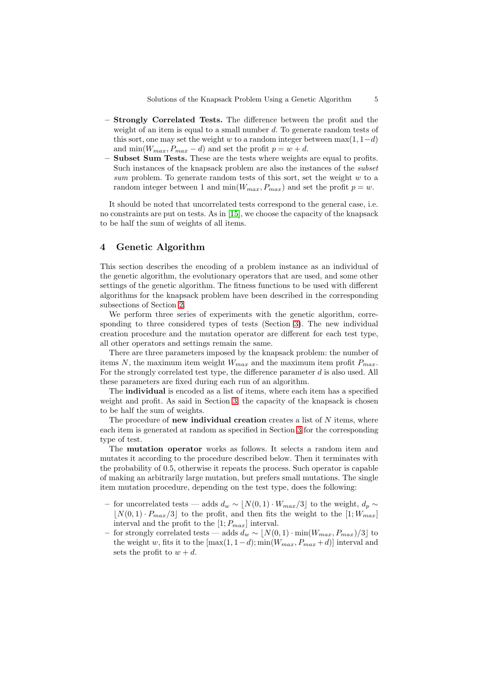- **Strongly Correlated Tests.** The difference between the profit and the weight of an item is equal to a small number *d*. To generate random tests of this sort, one may set the weight *w* to a random integer between max $(1, 1-d)$ and  $\min(W_{max}, P_{max} - d)$  and set the profit  $p = w + d$ .
- **Subset Sum Tests.** These are the tests where weights are equal to profits. Such instances of the knapsack problem are also the instances of the *subset sum* problem. To generate random tests of this sort, set the weight *w* to a random integer between 1 and  $\min(W_{max}, P_{max})$  and set the profit  $p = w$ .

It should be noted that uncorrelated tests correspond to the general case, i.e. no constraints are put on tests. As in [\[15\]](#page-9-12), we choose the capacity of the knapsack to be half the sum of weights of all items.

# <span id="page-4-0"></span>**4 Genetic Algorithm**

This section describes the encoding of a problem instance as an individual of the genetic algorithm, the evolutionary operators that are used, and some other settings of the genetic algorithm. The fitness functions to be used with different algorithms for the knapsack problem have been described in the corresponding subsections of Section [2.](#page-1-0)

We perform three series of experiments with the genetic algorithm, corresponding to three considered types of tests (Section [3\)](#page-3-0). The new individual creation procedure and the mutation operator are different for each test type, all other operators and settings remain the same.

There are three parameters imposed by the knapsack problem: the number of items *N*, the maximum item weight *Wmax* and the maximum item profit *Pmax*. For the strongly correlated test type, the difference parameter *d* is also used. All these parameters are fixed during each run of an algorithm.

The **individual** is encoded as a list of items, where each item has a specified weight and profit. As said in Section [3,](#page-3-0) the capacity of the knapsack is chosen to be half the sum of weights.

The procedure of **new individual creation** creates a list of *N* items, where each item is generated at random as specified in Section [3](#page-3-0) for the corresponding type of test.

The **mutation operator** works as follows. It selects a random item and mutates it according to the procedure described below. Then it terminates with the probability of 0*.*5, otherwise it repeats the process. Such operator is capable of making an arbitrarily large mutation, but prefers small mutations. The single item mutation procedure, depending on the test type, does the following:

- $-$  for uncorrelated tests adds  $d_w \sim \lfloor N(0,1) \cdot W_{max}/3 \rfloor$  to the weight,  $d_p \sim$  $N(0,1) \cdot P_{max}/3$  to the profit, and then fits the weight to the [1;  $W_{max}$ ] interval and the profit to the [1; *Pmax*] interval.
- **–** for strongly correlated tests adds *d<sup>w</sup>* ∼ *N*(0*,* 1) · min(*Wmax, Pmax*)*/*3 to the weight *w*, fits it to the  $[\max(1, 1-d); \min(W_{max}, P_{max} + d)]$  interval and sets the profit to  $w + d$ .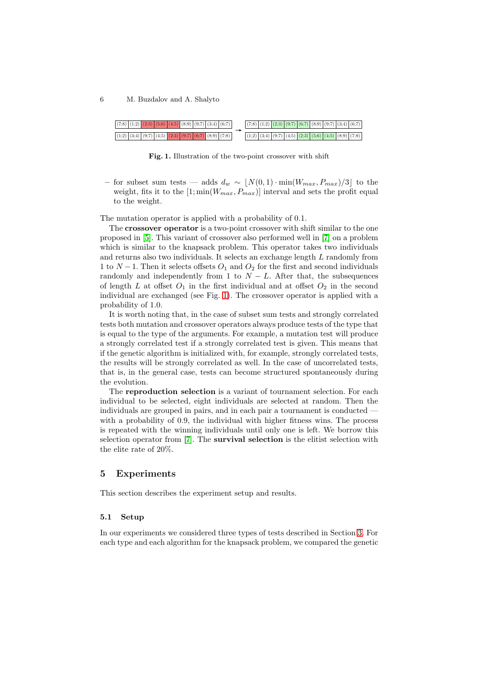|  |  |  |  | $\left  (7,8) (1,2) (2,3) (5,6) (4,5) (8,9) (9,7) (3,4) (6,7) \right $  |  | $\left  (7,8) (1,2) (2,3) (9,7) (6,7) (8,9) (9,7) (3,4) (6,7) \right $ |  |  |  |  |
|--|--|--|--|-------------------------------------------------------------------------|--|------------------------------------------------------------------------|--|--|--|--|
|  |  |  |  |                                                                         |  |                                                                        |  |  |  |  |
|  |  |  |  | $(1,2)$ $(3,4)$ $(9,7)$ $(4,5)$ $(2,3)$ $(9,7)$ $(6,7)$ $(8,9)$ $(7,8)$ |  | $(1,2) (3,4) (9,7) (4,5) (2,3) (5,6) (4,5) (8,9) (7,8)$                |  |  |  |  |

<span id="page-5-1"></span>**Fig. 1.** Illustration of the two-point crossover with shift

 $-$  for subset sum tests  $-$  adds  $d_w \sim |N(0,1) \cdot \min(W_{max}, P_{max})/3|$  to the weight, fits it to the  $[1; min(W_{max}, P_{max})]$  interval and sets the profit equal to the weight.

The mutation operator is applied with a probability of 0*.*1.

The **crossover operator** is a two-point crossover with shift similar to the one proposed in [\[5\]](#page-9-8). This variant of crossover also performed well in [\[7\]](#page-9-7) on a problem which is similar to the knapsack problem. This operator takes two individuals and returns also two individuals. It selects an exchange length *L* randomly from 1 to  $N-1$ . Then it selects offsets  $O_1$  and  $O_2$  for the first and second individuals randomly and independently from 1 to  $N - L$ . After that, the subsequences of length  $L$  at offset  $O_1$  in the first individual and at offset  $O_2$  in the second individual are exchanged (see Fig. [1\)](#page-5-1). The crossover operator is applied with a probability of 1*.*0.

It is worth noting that, in the case of subset sum tests and strongly correlated tests both mutation and crossover operators always produce tests of the type that is equal to the type of the arguments. For example, a mutation test will produce a strongly correlated test if a strongly correlated test is given. This means that if the genetic algorithm is initialized with, for example, strongly correlated tests, the results will be strongly correlated as well. In the case of uncorrelated tests, that is, in the general case, tests can become structured spontaneously during the evolution.

The **reproduction selection** is a variant of tournament selection. For each individual to be selected, eight individuals are selected at random. Then the individuals are grouped in pairs, and in each pair a tournament is conducted with a probability of 0.9, the individual with higher fitness wins. The process is repeated with the winning individuals until only one is left. We borrow this selection operator from [\[7\]](#page-9-7). The **survival selection** is the elitist selection with the elite rate of 20%.

## <span id="page-5-0"></span>**5 Experiments**

This section describes the experiment setup and results.

## **5.1 Setup**

In our experiments we considered three types of tests described in Section [3.](#page-3-0) For each type and each algorithm for the knapsack problem, we compared the genetic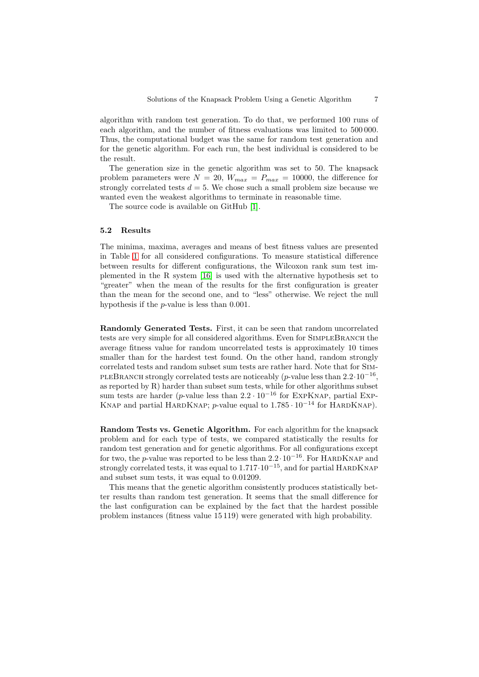algorithm with random test generation. To do that, we performed 100 runs of each algorithm, and the number of fitness evaluations was limited to 500 000. Thus, the computational budget was the same for random test generation and for the genetic algorithm. For each run, the best individual is considered to be the result.

The generation size in the genetic algorithm was set to 50. The knapsack problem parameters were  $N = 20$ ,  $W_{max} = P_{max} = 10000$ , the difference for strongly correlated tests  $d = 5$ . We chose such a small problem size because we wanted even the weakest algorithms to terminate in reasonable time.

The source code is available on GitHub [\[1\]](#page-8-3).

#### **5.2 Results**

The minima, maxima, averages and means of best fitness values are presented in Table [1](#page-7-0) for all considered configurations. To measure statistical difference between results for different configurations, the Wilcoxon rank sum test implemented in the R system [\[16\]](#page-9-15) is used with the alternative hypothesis set to "greater" when the mean of the results for the first configuration is greater than the mean for the second one, and to "less" otherwise. We reject the null hypothesis if the *p*-value is less than 0*.*001.

**Randomly Generated Tests.** First, it can be seen that random uncorrelated tests are very simple for all considered algorithms. Even for SIMPLEBRANCH the average fitness value for random uncorrelated tests is approximately 10 times smaller than for the hardest test found. On the other hand, random strongly correlated tests and random subset sum tests are rather hard. Note that for Sim-PLEBRANCH strongly correlated tests are noticeably ( $p$ -value less than 2.2·10<sup>-16</sup>, as reported by R) harder than subset sum tests, while for other algorithms subset sum tests are harder (*p*-value less than  $2.2 \cdot 10^{-16}$  for EXPKNAP, partial EXP-KNAP and partial HARDKNAP; *p*-value equal to  $1.785 \cdot 10^{-14}$  for HARDKNAP).

**Random Tests vs. Genetic Algorithm.** For each algorithm for the knapsack problem and for each type of tests, we compared statistically the results for random test generation and for genetic algorithms. For all configurations except for two, the *p*-value was reported to be less than  $2.2 \cdot 10^{-16}$ . For HARDKNAP and strongly correlated tests, it was equal to  $1.717 \cdot 10^{-15}$ , and for partial HARDKNAP and subset sum tests, it was equal to 0*.*01209.

This means that the genetic algorithm consistently produces statistically better results than random test generation. It seems that the small difference for the last configuration can be explained by the fact that the hardest possible problem instances (fitness value 15 119) were generated with high probability.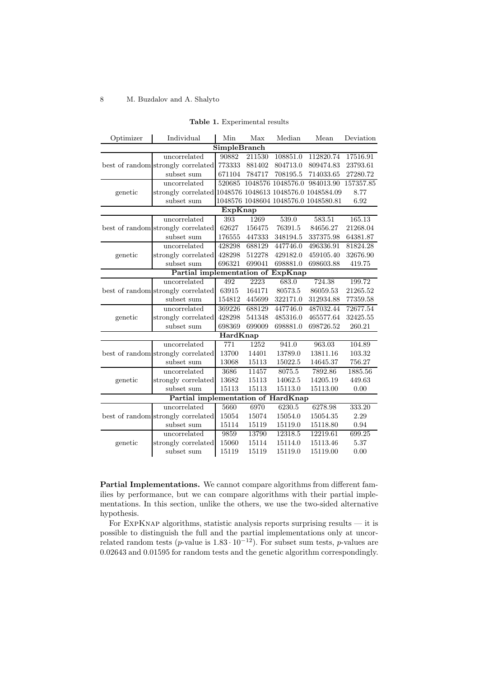<span id="page-7-0"></span>

|  |  | <b>Table 1.</b> Experimental results |  |
|--|--|--------------------------------------|--|
|--|--|--------------------------------------|--|

| Optimizer                          | Individual                                               | Min      | Max<br>Median |                   | Mean                                 | Deviation |  |  |  |  |  |
|------------------------------------|----------------------------------------------------------|----------|---------------|-------------------|--------------------------------------|-----------|--|--|--|--|--|
| <b>SimpleBranch</b>                |                                                          |          |               |                   |                                      |           |  |  |  |  |  |
|                                    | uncorrelated                                             | 90882    | 211530        | 108851.0          | 112820.74                            | 17516.91  |  |  |  |  |  |
|                                    | best of random strongly correlated                       | 773333   | 881402        | 804713.0          | 809474.83                            | 23793.61  |  |  |  |  |  |
|                                    | subset sum                                               | 671104   | 784717        | 708195.5          | 714033.65                            | 27280.72  |  |  |  |  |  |
|                                    | uncorrelated                                             | 520685   |               | 1048576 1048576.0 | 984013.90                            | 157357.85 |  |  |  |  |  |
| genetic                            | strongly correlated 1048576 1048613 1048576.0 1048584.09 |          |               |                   |                                      | 8.77      |  |  |  |  |  |
|                                    | subset sum                                               |          |               |                   | 1048576 1048604 1048576.0 1048580.81 | 6.92      |  |  |  |  |  |
| ExpKnap                            |                                                          |          |               |                   |                                      |           |  |  |  |  |  |
|                                    | uncorrelated                                             | 393      | 1269          | 539.0             | 583.51                               | 165.13    |  |  |  |  |  |
|                                    | best of random strongly correlated                       | 62627    | 156475        | 76391.5           | 84656.27                             | 21268.04  |  |  |  |  |  |
|                                    | subset sum                                               | 176555   | 447333        | 348194.5          | 337375.98                            | 64381.87  |  |  |  |  |  |
|                                    | uncorrelated                                             | 428298   | 688129        | 447746.0          | 496336.91                            | 81824.28  |  |  |  |  |  |
| genetic                            | strongly correlated                                      | 428298   | 512278        | 429182.0          | 459105.40                            | 32676.90  |  |  |  |  |  |
|                                    | subset sum                                               | 696321   | 699041        | 698881.0          | 698603.88                            | 419.75    |  |  |  |  |  |
| Partial implementation of ExpKnap  |                                                          |          |               |                   |                                      |           |  |  |  |  |  |
|                                    | uncorrelated                                             | 492      | 2223          | 683.0             | 724.38                               | 199.72    |  |  |  |  |  |
|                                    | best of random strongly correlated                       | 63915    | 164171        | 80573.5           | 86059.53                             | 21265.52  |  |  |  |  |  |
|                                    | subset sum                                               | 154812   | 445699        | 322171.0          | 312934.88                            | 77359.58  |  |  |  |  |  |
|                                    | uncorrelated                                             | 369226   | 688129        | 447746.0          | 487032.44                            | 72677.54  |  |  |  |  |  |
| genetic                            | strongly correlated                                      | 428298   | 541348        | 485316.0          | 465577.64                            | 32425.55  |  |  |  |  |  |
|                                    | subset sum                                               | 698369   | 699009        | 698881.0          | 698726.52                            | 260.21    |  |  |  |  |  |
|                                    |                                                          | HardKnap |               |                   |                                      |           |  |  |  |  |  |
|                                    | uncorrelated                                             | 771      | 1252          | 941.0             | 963.03                               | 104.89    |  |  |  |  |  |
|                                    | best of random strongly correlated                       | 13700    | 14401         | 13789.0           | 13811.16                             | 103.32    |  |  |  |  |  |
|                                    | subset sum                                               | 13068    | 15113         | 15022.5           | 14645.37                             | 756.27    |  |  |  |  |  |
|                                    | uncorrelated                                             | 3686     | 11457         | 8075.5            | 7892.86                              | 1885.56   |  |  |  |  |  |
| genetic                            | strongly correlated                                      | 13682    | 15113         | 14062.5           | 14205.19                             | 449.63    |  |  |  |  |  |
|                                    | subset sum                                               | 15113    | 15113         | 15113.0           | 15113.00                             | 0.00      |  |  |  |  |  |
| Partial implementation of HardKnap |                                                          |          |               |                   |                                      |           |  |  |  |  |  |
|                                    | uncorrelated                                             | 5660     | 6970          | 6230.5            | 6278.98                              | 333.20    |  |  |  |  |  |
|                                    | best of random strongly correlated                       | 15054    | 15074         | 15054.0           | 15054.35                             | 2.29      |  |  |  |  |  |
|                                    | subset sum                                               | 15114    | 15119         | 15119.0           | 15118.80                             | 0.94      |  |  |  |  |  |
|                                    | uncorrelated                                             | 9859     | 13790         | 12318.5           | 12219.61                             | 699.25    |  |  |  |  |  |
| genetic                            | strongly correlated                                      | 15060    | 15114         | 15114.0           | 15113.46                             | 5.37      |  |  |  |  |  |
|                                    | subset sum                                               | 15119    | 15119         | 15119.0           | 15119.00                             | 0.00      |  |  |  |  |  |
|                                    |                                                          |          |               |                   |                                      |           |  |  |  |  |  |

**Partial Implementations.** We cannot compare algorithms from different families by performance, but we can compare algorithms with their partial implementations. In this section, unlike the others, we use the two-sided alternative hypothesis.

For ExpKnap algorithms, statistic analysis reports surprising results — it is possible to distinguish the full and the partial implementations only at uncorrelated random tests ( $p$ -value is  $1.83 \cdot 10^{-12}$ ). For subset sum tests,  $p$ -values are 0*.*02643 and 0*.*01595 for random tests and the genetic algorithm correspondingly.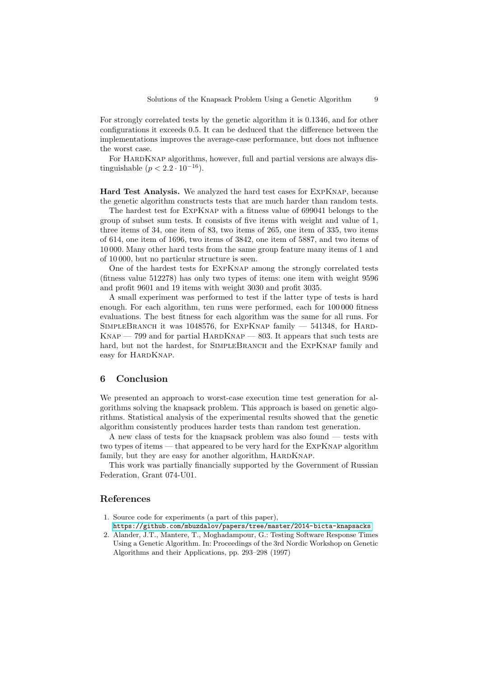For strongly correlated tests by the genetic algorithm it is 0*.*1346, and for other configurations it exceeds 0*.*5. It can be deduced that the difference between the implementations improves the average-case performance, but does not influence the worst case.

For HARDKNAP algorithms, however, full and partial versions are always distinguishable  $(p < 2.2 \cdot 10^{-16})$ .

**Hard Test Analysis.** We analyzed the hard test cases for ExpKnap, because the genetic algorithm constructs tests that are much harder than random tests.

The hardest test for ExpKnap with a fitness value of 699041 belongs to the group of subset sum tests. It consists of five items with weight and value of 1, three items of 34, one item of 83, two items of 265, one item of 335, two items of 614, one item of 1696, two items of 3842, one item of 5887, and two items of 10 000. Many other hard tests from the same group feature many items of 1 and of 10 000, but no particular structure is seen.

One of the hardest tests for ExpKnap among the strongly correlated tests (fitness value 512278) has only two types of items: one item with weight 9596 and profit 9601 and 19 items with weight 3030 and profit 3035.

A small experiment was performed to test if the latter type of tests is hard enough. For each algorithm, ten runs were performed, each for 100 000 fitness evaluations. The best fitness for each algorithm was the same for all runs. For SimpleBranch it was 1048576, for ExpKnap family — 541348, for Hard- $KNAP - 799$  and for partial HARDKNAP  $- 803$ . It appears that such tests are hard, but not the hardest, for SIMPLEBRANCH and the EXPKNAP family and easy for HARDKNAP.

# <span id="page-8-2"></span>**6 Conclusion**

We presented an approach to worst-case execution time test generation for algorithms solving the knapsack problem. This approach is based on genetic algorithms. Statistical analysis of the experimental results showed that the genetic algorithm consistently produces harder tests than random test generation.

A new class of tests for the knapsack problem was also found — tests with two types of items — that appeared to be very hard for the ExpKnap algorithm family, but they are easy for another algorithm, HARDKNAP.

This work was partially financially supported by the Government of Russian Federation, Grant 074-U01.

# <span id="page-8-1"></span>**References**

- <span id="page-8-3"></span>1. Source code for experiments (a part of this paper), <https://github.com/mbuzdalov/papers/tree/master/2014-bicta-knapsacks>
- <span id="page-8-0"></span>2. Alander, J.T., Mantere, T., Moghadampour, G.: Testing Software Response Times Using a Genetic Algorithm. In: Proceedings of the 3rd Nordic Workshop on Genetic Algorithms and their Applications, pp. 293–298 (1997)